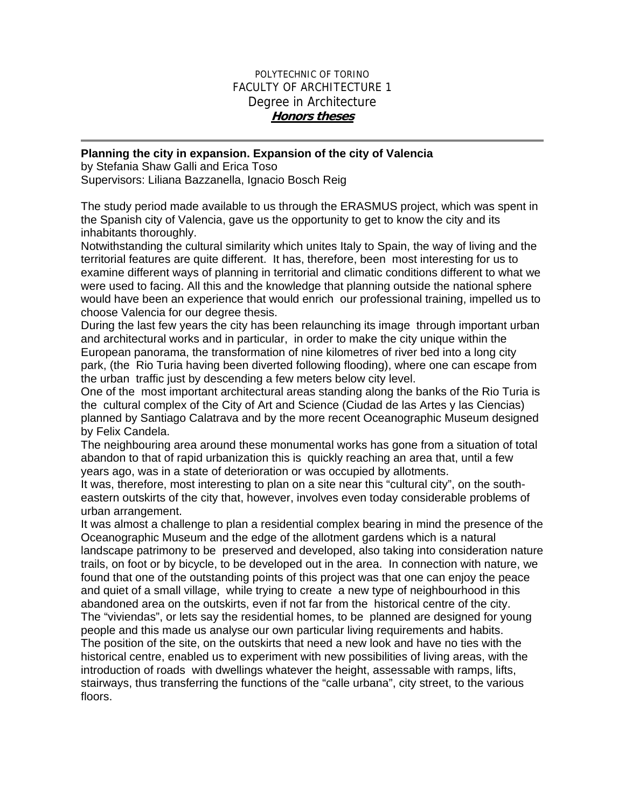## POLYTECHNIC OF TORINO FACULTY OF ARCHITECTURE 1 Degree in Architecture **Honors theses**

## **Planning the city in expansion. Expansion of the city of Valencia**

by Stefania Shaw Galli and Erica Toso Supervisors: Liliana Bazzanella, Ignacio Bosch Reig

The study period made available to us through the ERASMUS project, which was spent in the Spanish city of Valencia, gave us the opportunity to get to know the city and its inhabitants thoroughly.

Notwithstanding the cultural similarity which unites Italy to Spain, the way of living and the territorial features are quite different. It has, therefore, been most interesting for us to examine different ways of planning in territorial and climatic conditions different to what we were used to facing. All this and the knowledge that planning outside the national sphere would have been an experience that would enrich our professional training, impelled us to choose Valencia for our degree thesis.

During the last few years the city has been relaunching its image through important urban and architectural works and in particular, in order to make the city unique within the European panorama, the transformation of nine kilometres of river bed into a long city park, (the Rio Turia having been diverted following flooding), where one can escape from the urban traffic just by descending a few meters below city level.

One of the most important architectural areas standing along the banks of the Rio Turia is the cultural complex of the City of Art and Science (Ciudad de las Artes y las Ciencias) planned by Santiago Calatrava and by the more recent Oceanographic Museum designed by Felix Candela.

The neighbouring area around these monumental works has gone from a situation of total abandon to that of rapid urbanization this is quickly reaching an area that, until a few years ago, was in a state of deterioration or was occupied by allotments.

It was, therefore, most interesting to plan on a site near this "cultural city", on the southeastern outskirts of the city that, however, involves even today considerable problems of urban arrangement.

It was almost a challenge to plan a residential complex bearing in mind the presence of the Oceanographic Museum and the edge of the allotment gardens which is a natural landscape patrimony to be preserved and developed, also taking into consideration nature trails, on foot or by bicycle, to be developed out in the area. In connection with nature, we found that one of the outstanding points of this project was that one can enjoy the peace and quiet of a small village, while trying to create a new type of neighbourhood in this abandoned area on the outskirts, even if not far from the historical centre of the city. The "viviendas", or lets say the residential homes, to be planned are designed for young people and this made us analyse our own particular living requirements and habits. The position of the site, on the outskirts that need a new look and have no ties with the historical centre, enabled us to experiment with new possibilities of living areas, with the introduction of roads with dwellings whatever the height, assessable with ramps, lifts, stairways, thus transferring the functions of the "calle urbana", city street, to the various floors.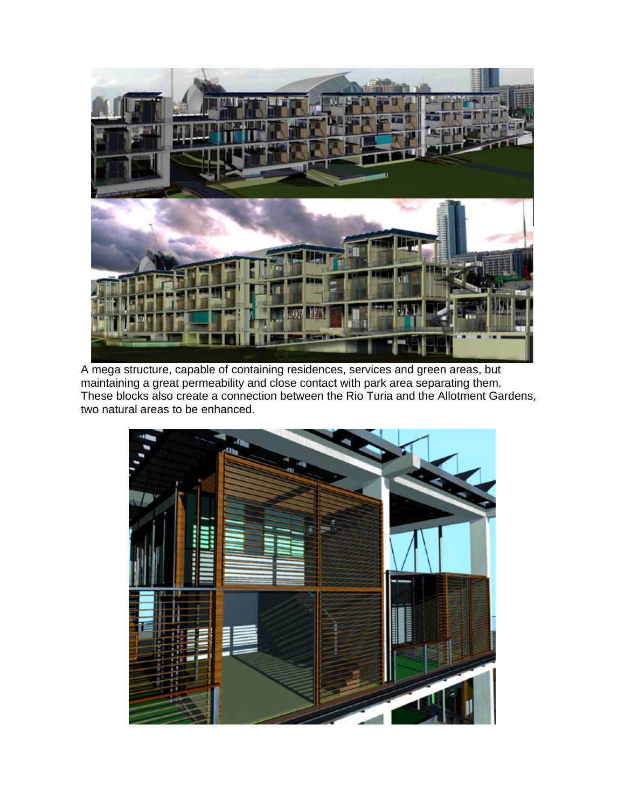

A mega structure, capable of containing residences, services and green areas, but maintaining a great permeability and close contact with park area separating them. These blocks also create a connection between the Rio Turia and the Allotment Gardens, two natural areas to be enhanced.